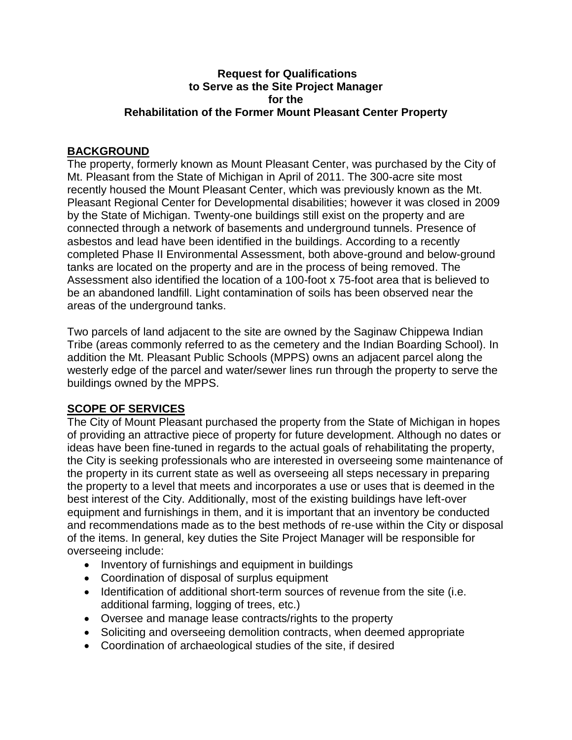## **Request for Qualifications to Serve as the Site Project Manager for the Rehabilitation of the Former Mount Pleasant Center Property**

## **BACKGROUND**

The property, formerly known as Mount Pleasant Center, was purchased by the City of Mt. Pleasant from the State of Michigan in April of 2011. The 300-acre site most recently housed the Mount Pleasant Center, which was previously known as the Mt. Pleasant Regional Center for Developmental disabilities; however it was closed in 2009 by the State of Michigan. Twenty-one buildings still exist on the property and are connected through a network of basements and underground tunnels. Presence of asbestos and lead have been identified in the buildings. According to a recently completed Phase II Environmental Assessment, both above-ground and below-ground tanks are located on the property and are in the process of being removed. The Assessment also identified the location of a 100-foot x 75-foot area that is believed to be an abandoned landfill. Light contamination of soils has been observed near the areas of the underground tanks.

Two parcels of land adjacent to the site are owned by the Saginaw Chippewa Indian Tribe (areas commonly referred to as the cemetery and the Indian Boarding School). In addition the Mt. Pleasant Public Schools (MPPS) owns an adjacent parcel along the westerly edge of the parcel and water/sewer lines run through the property to serve the buildings owned by the MPPS.

## **SCOPE OF SERVICES**

The City of Mount Pleasant purchased the property from the State of Michigan in hopes of providing an attractive piece of property for future development. Although no dates or ideas have been fine-tuned in regards to the actual goals of rehabilitating the property, the City is seeking professionals who are interested in overseeing some maintenance of the property in its current state as well as overseeing all steps necessary in preparing the property to a level that meets and incorporates a use or uses that is deemed in the best interest of the City. Additionally, most of the existing buildings have left-over equipment and furnishings in them, and it is important that an inventory be conducted and recommendations made as to the best methods of re-use within the City or disposal of the items. In general, key duties the Site Project Manager will be responsible for overseeing include:

- Inventory of furnishings and equipment in buildings
- Coordination of disposal of surplus equipment
- Identification of additional short-term sources of revenue from the site (i.e. additional farming, logging of trees, etc.)
- Oversee and manage lease contracts/rights to the property
- Soliciting and overseeing demolition contracts, when deemed appropriate
- Coordination of archaeological studies of the site, if desired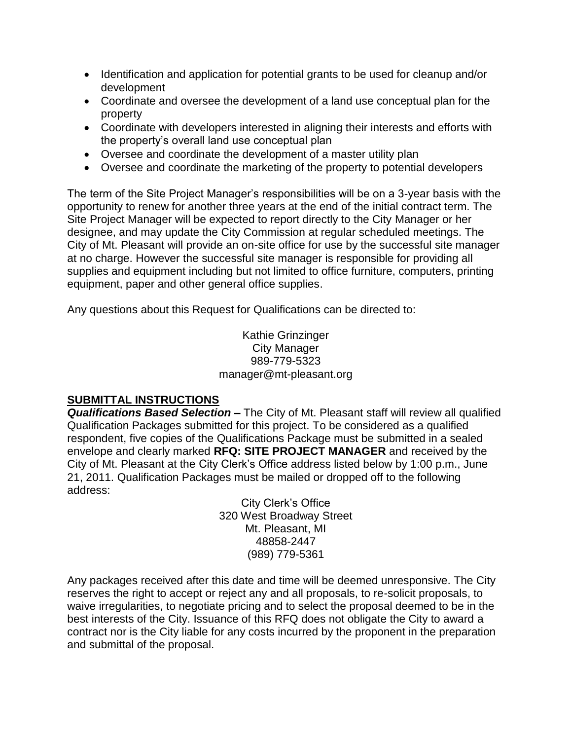- Identification and application for potential grants to be used for cleanup and/or development
- Coordinate and oversee the development of a land use conceptual plan for the property
- Coordinate with developers interested in aligning their interests and efforts with the property's overall land use conceptual plan
- Oversee and coordinate the development of a master utility plan
- Oversee and coordinate the marketing of the property to potential developers

The term of the Site Project Manager's responsibilities will be on a 3-year basis with the opportunity to renew for another three years at the end of the initial contract term. The Site Project Manager will be expected to report directly to the City Manager or her designee, and may update the City Commission at regular scheduled meetings. The City of Mt. Pleasant will provide an on-site office for use by the successful site manager at no charge. However the successful site manager is responsible for providing all supplies and equipment including but not limited to office furniture, computers, printing equipment, paper and other general office supplies.

Any questions about this Request for Qualifications can be directed to:

Kathie Grinzinger City Manager 989-779-5323 manager@mt-pleasant.org

## **SUBMITTAL INSTRUCTIONS**

*Qualifications Based Selection –* The City of Mt. Pleasant staff will review all qualified Qualification Packages submitted for this project. To be considered as a qualified respondent, five copies of the Qualifications Package must be submitted in a sealed envelope and clearly marked **RFQ: SITE PROJECT MANAGER** and received by the City of Mt. Pleasant at the City Clerk's Office address listed below by 1:00 p.m., June 21, 2011. Qualification Packages must be mailed or dropped off to the following address:

City Clerk's Office 320 West Broadway Street Mt. Pleasant, MI 48858-2447 (989) 779-5361

Any packages received after this date and time will be deemed unresponsive. The City reserves the right to accept or reject any and all proposals, to re-solicit proposals, to waive irregularities, to negotiate pricing and to select the proposal deemed to be in the best interests of the City. Issuance of this RFQ does not obligate the City to award a contract nor is the City liable for any costs incurred by the proponent in the preparation and submittal of the proposal.